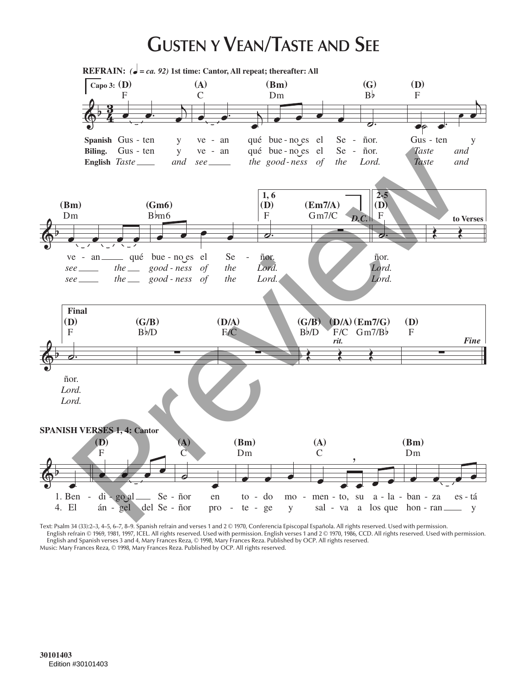## **GUSTEN Y VEAN/TASTE AND SEE**



Text: Psalm 34 (33):2–3, 4–5, 6–7, 8–9. Spanish refrain and verses 1 and 2 © 1970, Conferencia Episcopal Española. All rights reserved. Used with permission. English refrain © 1969, 1981, 1997, ICEL. All rights reserved. Used with permission. English verses 1 and 2 © 1970, 1986, CCD. All rights reserved. Used with permission. English and Spanish verses 3 and 4, Mary Frances Reza, © 1998, Mary Frances Reza. Published by OCP. All rights reserved. Music: Mary Frances Reza, © 1998, Mary Frances Reza. Published by OCP. All rights reserved.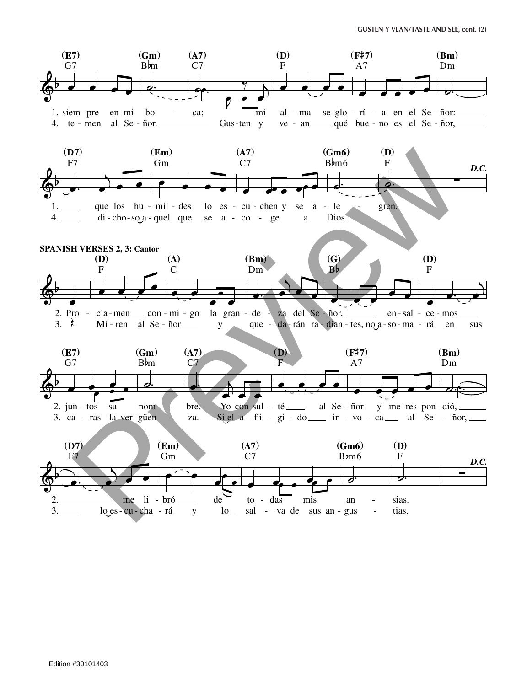